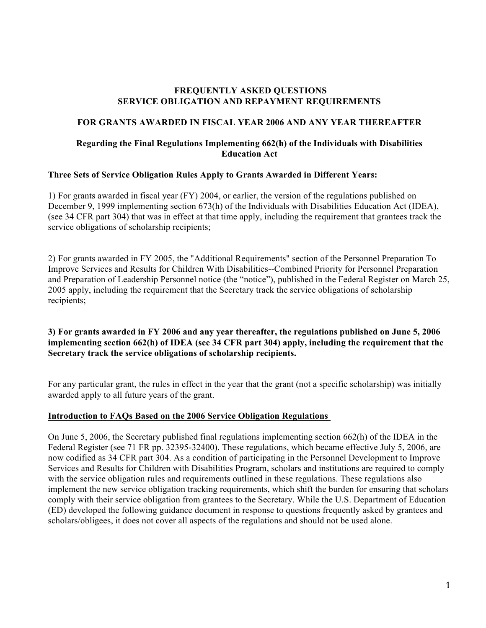#### **FREQUENTLY ASKED QUESTIONS SERVICE OBLIGATION AND REPAYMENT REQUIREMENTS**

## **FOR GRANTS AWARDED IN FISCAL YEAR 2006 AND ANY YEAR THEREAFTER**

## **Regarding the Final Regulations Implementing 662(h) of the Individuals with Disabilities Education Act**

## **Three Sets of Service Obligation Rules Apply to Grants Awarded in Different Years:**

1) For grants awarded in fiscal year (FY) 2004, or earlier, the version of the regulations published on December 9, 1999 implementing section 673(h) of the Individuals with Disabilities Education Act (IDEA), (see 34 CFR part 304) that was in effect at that time apply, including the requirement that grantees track the service obligations of scholarship recipients;

2) For grants awarded in FY 2005, the "Additional Requirements" section of the Personnel Preparation To Improve Services and Results for Children With Disabilities--Combined Priority for Personnel Preparation and Preparation of Leadership Personnel notice (the "notice"), published in the Federal Register on March 25, 2005 apply, including the requirement that the Secretary track the service obligations of scholarship recipients;

## **3) For grants awarded in FY 2006 and any year thereafter, the regulations published on June 5, 2006 implementing section 662(h) of IDEA (see 34 CFR part 304) apply, including the requirement that the Secretary track the service obligations of scholarship recipients.**

For any particular grant, the rules in effect in the year that the grant (not a specific scholarship) was initially awarded apply to all future years of the grant.

## **Introduction to FAQs Based on the 2006 Service Obligation Regulations**

On June 5, 2006, the Secretary published final regulations implementing section 662(h) of the IDEA in the Federal Register (see 71 FR pp. 32395-32400). These regulations, which became effective July 5, 2006, are now codified as 34 CFR part 304. As a condition of participating in the Personnel Development to Improve Services and Results for Children with Disabilities Program, scholars and institutions are required to comply with the service obligation rules and requirements outlined in these regulations. These regulations also implement the new service obligation tracking requirements, which shift the burden for ensuring that scholars comply with their service obligation from grantees to the Secretary. While the U.S. Department of Education (ED) developed the following guidance document in response to questions frequently asked by grantees and scholars/obligees, it does not cover all aspects of the regulations and should not be used alone.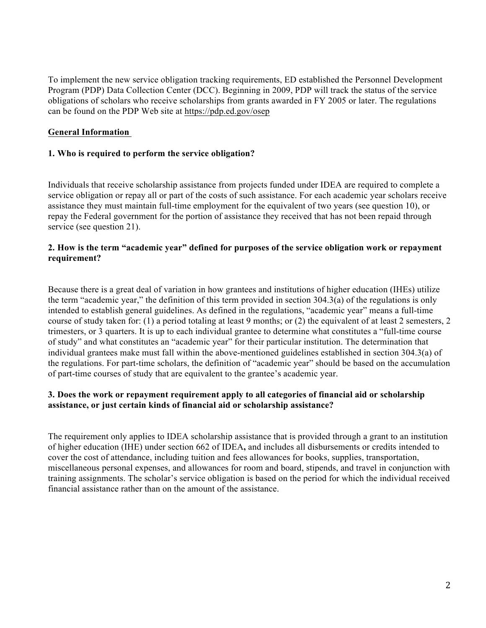To implement the new service obligation tracking requirements, ED established the Personnel Development Program (PDP) Data Collection Center (DCC). Beginning in 2009, PDP will track the status of the service obligations of scholars who receive scholarships from grants awarded in FY 2005 or later. The regulations can be found on the PDP Web site at https://pdp.ed.gov/osep

# **General Information**

## **1. Who is required to perform the service obligation?**

Individuals that receive scholarship assistance from projects funded under IDEA are required to complete a service obligation or repay all or part of the costs of such assistance. For each academic year scholars receive assistance they must maintain full-time employment for the equivalent of two years (see question 10), or repay the Federal government for the portion of assistance they received that has not been repaid through service (see question 21).

## **2. How is the term "academic year" defined for purposes of the service obligation work or repayment requirement?**

Because there is a great deal of variation in how grantees and institutions of higher education (IHEs) utilize the term "academic year," the definition of this term provided in section 304.3(a) of the regulations is only intended to establish general guidelines. As defined in the regulations, "academic year" means a full-time course of study taken for: (1) a period totaling at least 9 months; or (2) the equivalent of at least 2 semesters, 2 trimesters, or 3 quarters. It is up to each individual grantee to determine what constitutes a "full-time course of study" and what constitutes an "academic year" for their particular institution. The determination that individual grantees make must fall within the above-mentioned guidelines established in section 304.3(a) of the regulations. For part-time scholars, the definition of "academic year" should be based on the accumulation of part-time courses of study that are equivalent to the grantee's academic year.

## **3. Does the work or repayment requirement apply to all categories of financial aid or scholarship assistance, or just certain kinds of financial aid or scholarship assistance?**

The requirement only applies to IDEA scholarship assistance that is provided through a grant to an institution of higher education (IHE) under section 662 of IDEA**,** and includes all disbursements or credits intended to cover the cost of attendance, including tuition and fees allowances for books, supplies, transportation, miscellaneous personal expenses, and allowances for room and board, stipends, and travel in conjunction with training assignments. The scholar's service obligation is based on the period for which the individual received financial assistance rather than on the amount of the assistance.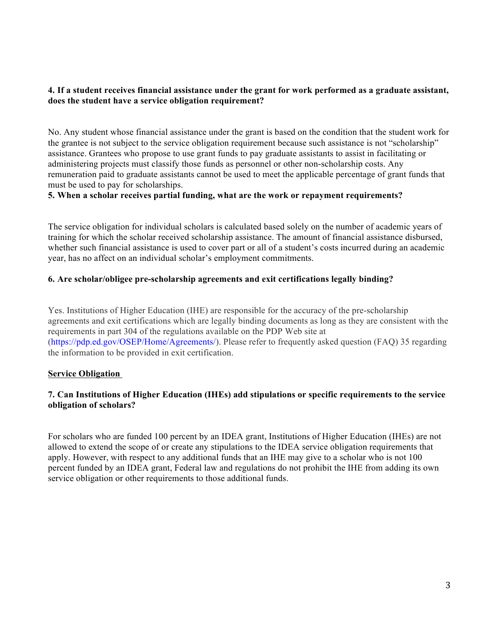#### **4. If a student receives financial assistance under the grant for work performed as a graduate assistant, does the student have a service obligation requirement?**

No. Any student whose financial assistance under the grant is based on the condition that the student work for the grantee is not subject to the service obligation requirement because such assistance is not "scholarship" assistance. Grantees who propose to use grant funds to pay graduate assistants to assist in facilitating or administering projects must classify those funds as personnel or other non-scholarship costs. Any remuneration paid to graduate assistants cannot be used to meet the applicable percentage of grant funds that must be used to pay for scholarships.

#### **5. When a scholar receives partial funding, what are the work or repayment requirements?**

The service obligation for individual scholars is calculated based solely on the number of academic years of training for which the scholar received scholarship assistance. The amount of financial assistance disbursed, whether such financial assistance is used to cover part or all of a student's costs incurred during an academic year, has no affect on an individual scholar's employment commitments.

## **6. Are scholar/obligee pre-scholarship agreements and exit certifications legally binding?**

Yes. Institutions of Higher Education (IHE) are responsible for the accuracy of the pre-scholarship agreements and exit certifications which are legally binding documents as long as they are consistent with the requirements in part 304 of the regulations available on the PDP Web site at (https://pdp.ed.gov/OSEP/Home/Agreements/). Please refer to frequently asked question (FAQ) 35 regarding the information to be provided in exit certification.

## **Service Obligation**

## **7. Can Institutions of Higher Education (IHEs) add stipulations or specific requirements to the service obligation of scholars?**

For scholars who are funded 100 percent by an IDEA grant, Institutions of Higher Education (IHEs) are not allowed to extend the scope of or create any stipulations to the IDEA service obligation requirements that apply. However, with respect to any additional funds that an IHE may give to a scholar who is not 100 percent funded by an IDEA grant, Federal law and regulations do not prohibit the IHE from adding its own service obligation or other requirements to those additional funds.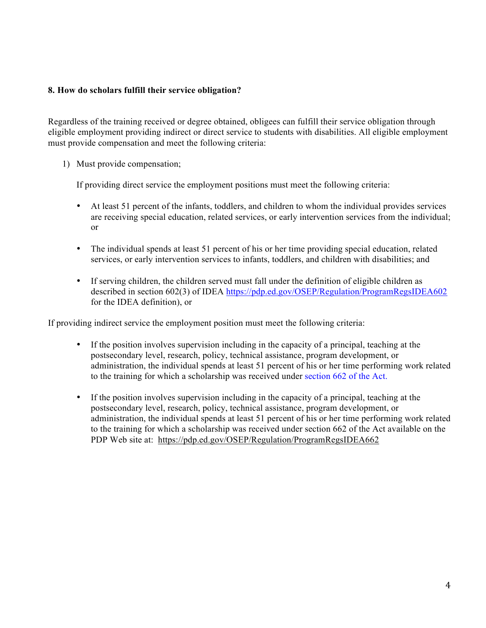#### **8. How do scholars fulfill their service obligation?**

Regardless of the training received or degree obtained, obligees can fulfill their service obligation through eligible employment providing indirect or direct service to students with disabilities. All eligible employment must provide compensation and meet the following criteria:

1) Must provide compensation;

If providing direct service the employment positions must meet the following criteria:

- At least 51 percent of the infants, toddlers, and children to whom the individual provides services are receiving special education, related services, or early intervention services from the individual; or
- The individual spends at least 51 percent of his or her time providing special education, related services, or early intervention services to infants, toddlers, and children with disabilities; and
- If serving children, the children served must fall under the definition of eligible children as described in section 602(3) of IDEA https://pdp.ed.gov/OSEP/Regulation/ProgramRegsIDEA602 for the IDEA definition), or

If providing indirect service the employment position must meet the following criteria:

- If the position involves supervision including in the capacity of a principal, teaching at the postsecondary level, research, policy, technical assistance, program development, or administration, the individual spends at least 51 percent of his or her time performing work related to the training for which a scholarship was received under section 662 of the Act.
- If the position involves supervision including in the capacity of a principal, teaching at the postsecondary level, research, policy, technical assistance, program development, or administration, the individual spends at least 51 percent of his or her time performing work related to the training for which a scholarship was received under section 662 of the Act available on the PDP Web site at: https://pdp.ed.gov/OSEP/Regulation/ProgramRegsIDEA662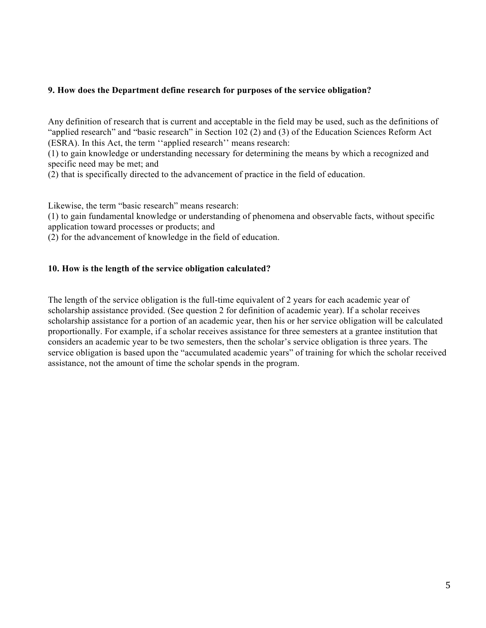#### **9. How does the Department define research for purposes of the service obligation?**

Any definition of research that is current and acceptable in the field may be used, such as the definitions of "applied research" and "basic research" in Section 102 (2) and (3) of the Education Sciences Reform Act (ESRA). In this Act, the term ''applied research'' means research:

(1) to gain knowledge or understanding necessary for determining the means by which a recognized and specific need may be met; and

(2) that is specifically directed to the advancement of practice in the field of education.

Likewise, the term "basic research" means research:

(1) to gain fundamental knowledge or understanding of phenomena and observable facts, without specific application toward processes or products; and

(2) for the advancement of knowledge in the field of education.

#### **10. How is the length of the service obligation calculated?**

The length of the service obligation is the full-time equivalent of 2 years for each academic year of scholarship assistance provided. (See question 2 for definition of academic year). If a scholar receives scholarship assistance for a portion of an academic year, then his or her service obligation will be calculated proportionally. For example, if a scholar receives assistance for three semesters at a grantee institution that considers an academic year to be two semesters, then the scholar's service obligation is three years. The service obligation is based upon the "accumulated academic years" of training for which the scholar received assistance, not the amount of time the scholar spends in the program.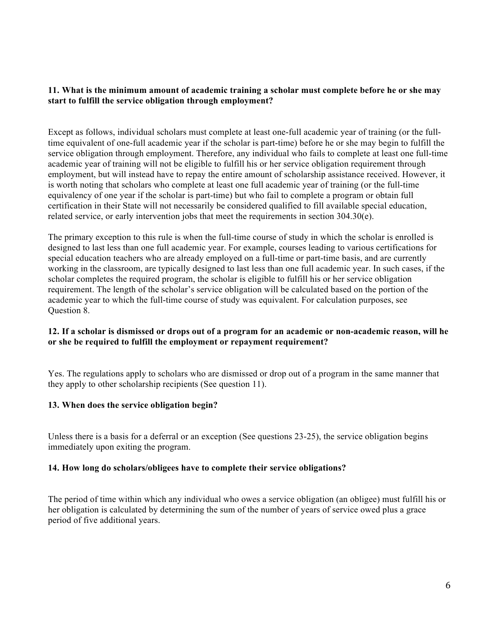#### **11. What is the minimum amount of academic training a scholar must complete before he or she may start to fulfill the service obligation through employment?**

Except as follows, individual scholars must complete at least one-full academic year of training (or the fulltime equivalent of one-full academic year if the scholar is part-time) before he or she may begin to fulfill the service obligation through employment. Therefore, any individual who fails to complete at least one full-time academic year of training will not be eligible to fulfill his or her service obligation requirement through employment, but will instead have to repay the entire amount of scholarship assistance received. However, it is worth noting that scholars who complete at least one full academic year of training (or the full-time equivalency of one year if the scholar is part-time) but who fail to complete a program or obtain full certification in their State will not necessarily be considered qualified to fill available special education, related service, or early intervention jobs that meet the requirements in section 304.30(e).

The primary exception to this rule is when the full-time course of study in which the scholar is enrolled is designed to last less than one full academic year. For example, courses leading to various certifications for special education teachers who are already employed on a full-time or part-time basis, and are currently working in the classroom, are typically designed to last less than one full academic year. In such cases, if the scholar completes the required program, the scholar is eligible to fulfill his or her service obligation requirement. The length of the scholar's service obligation will be calculated based on the portion of the academic year to which the full-time course of study was equivalent. For calculation purposes, see Question 8.

## **12. If a scholar is dismissed or drops out of a program for an academic or non-academic reason, will he or she be required to fulfill the employment or repayment requirement?**

Yes. The regulations apply to scholars who are dismissed or drop out of a program in the same manner that they apply to other scholarship recipients (See question 11).

## **13. When does the service obligation begin?**

Unless there is a basis for a deferral or an exception (See questions 23-25), the service obligation begins immediately upon exiting the program.

## **14. How long do scholars/obligees have to complete their service obligations?**

The period of time within which any individual who owes a service obligation (an obligee) must fulfill his or her obligation is calculated by determining the sum of the number of years of service owed plus a grace period of five additional years.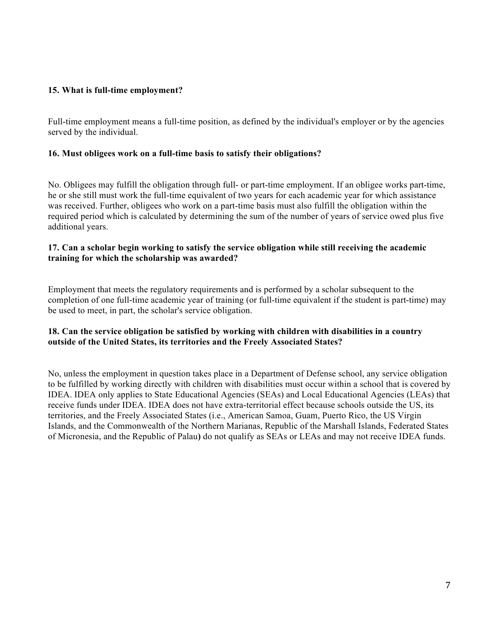# **15. What is full-time employment?**

Full-time employment means a full-time position, as defined by the individual's employer or by the agencies served by the individual.

#### **16. Must obligees work on a full-time basis to satisfy their obligations?**

No. Obligees may fulfill the obligation through full- or part-time employment. If an obligee works part-time, he or she still must work the full-time equivalent of two years for each academic year for which assistance was received. Further, obligees who work on a part-time basis must also fulfill the obligation within the required period which is calculated by determining the sum of the number of years of service owed plus five additional years.

#### **17. Can a scholar begin working to satisfy the service obligation while still receiving the academic training for which the scholarship was awarded?**

Employment that meets the regulatory requirements and is performed by a scholar subsequent to the completion of one full-time academic year of training (or full-time equivalent if the student is part-time) may be used to meet, in part, the scholar's service obligation.

## **18. Can the service obligation be satisfied by working with children with disabilities in a country outside of the United States, its territories and the Freely Associated States?**

No, unless the employment in question takes place in a Department of Defense school, any service obligation to be fulfilled by working directly with children with disabilities must occur within a school that is covered by IDEA. IDEA only applies to State Educational Agencies (SEAs) and Local Educational Agencies (LEAs) that receive funds under IDEA. IDEA does not have extra-territorial effect because schools outside the US, its territories, and the Freely Associated States (i.e., American Samoa, Guam, Puerto Rico, the US Virgin Islands, and the Commonwealth of the Northern Marianas, Republic of the Marshall Islands, Federated States of Micronesia, and the Republic of Palau**)** do not qualify as SEAs or LEAs and may not receive IDEA funds.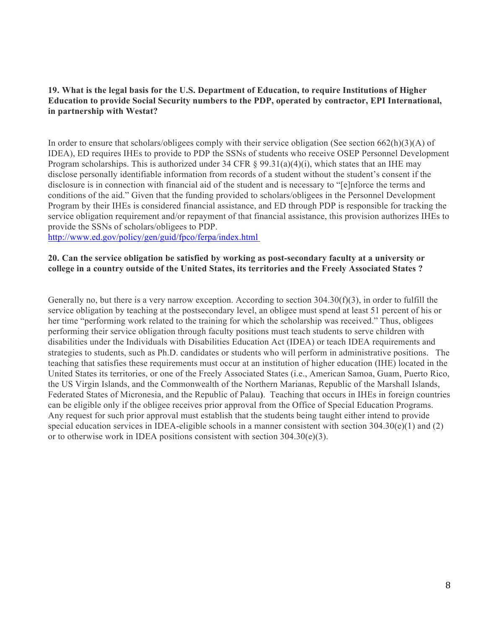## **19. What is the legal basis for the U.S. Department of Education, to require Institutions of Higher Education to provide Social Security numbers to the PDP, operated by contractor, EPI International, in partnership with Westat?**

In order to ensure that scholars/obligees comply with their service obligation (See section 662(h)(3)(A) of IDEA), ED requires IHEs to provide to PDP the SSNs of students who receive OSEP Personnel Development Program scholarships. This is authorized under 34 CFR  $\S$  99.31(a)(4)(i), which states that an IHE may disclose personally identifiable information from records of a student without the student's consent if the disclosure is in connection with financial aid of the student and is necessary to "[e]nforce the terms and conditions of the aid." Given that the funding provided to scholars/obligees in the Personnel Development Program by their IHEs is considered financial assistance, and ED through PDP is responsible for tracking the service obligation requirement and/or repayment of that financial assistance, this provision authorizes IHEs to provide the SSNs of scholars/obligees to PDP.

http://www.ed.gov/policy/gen/guid/fpco/ferpa/index.html

#### **20. Can the service obligation be satisfied by working as post-secondary faculty at a university or college in a country outside of the United States, its territories and the Freely Associated States ?**

Generally no, but there is a very narrow exception. According to section 304.30(f)(3), in order to fulfill the service obligation by teaching at the postsecondary level, an obligee must spend at least 51 percent of his or her time "performing work related to the training for which the scholarship was received." Thus, obligees performing their service obligation through faculty positions must teach students to serve children with disabilities under the Individuals with Disabilities Education Act (IDEA) or teach IDEA requirements and strategies to students, such as Ph.D. candidates or students who will perform in administrative positions. The teaching that satisfies these requirements must occur at an institution of higher education (IHE) located in the United States its territories, or one of the Freely Associated States (i.e., American Samoa, Guam, Puerto Rico, the US Virgin Islands, and the Commonwealth of the Northern Marianas, Republic of the Marshall Islands, Federated States of Micronesia, and the Republic of Palau**)**. Teaching that occurs in IHEs in foreign countries can be eligible only if the obligee receives prior approval from the Office of Special Education Programs. Any request for such prior approval must establish that the students being taught either intend to provide special education services in IDEA-eligible schools in a manner consistent with section  $304.30(e)(1)$  and (2) or to otherwise work in IDEA positions consistent with section 304.30(e)(3).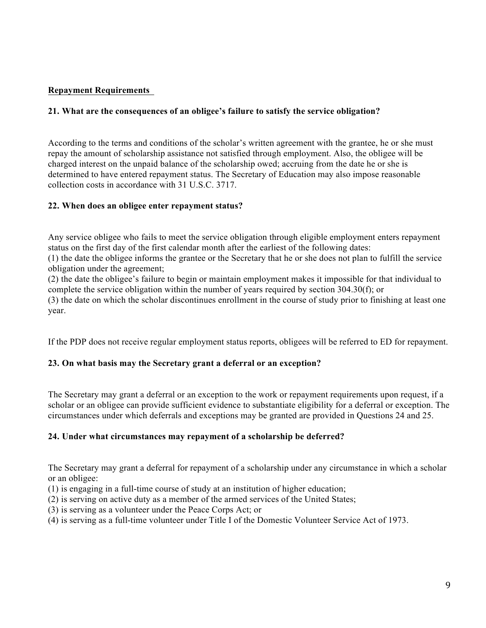# **Repayment Requirements**

# **21. What are the consequences of an obligee's failure to satisfy the service obligation?**

According to the terms and conditions of the scholar's written agreement with the grantee, he or she must repay the amount of scholarship assistance not satisfied through employment. Also, the obligee will be charged interest on the unpaid balance of the scholarship owed; accruing from the date he or she is determined to have entered repayment status. The Secretary of Education may also impose reasonable collection costs in accordance with 31 U.S.C. 3717.

## **22. When does an obligee enter repayment status?**

Any service obligee who fails to meet the service obligation through eligible employment enters repayment status on the first day of the first calendar month after the earliest of the following dates:

(1) the date the obligee informs the grantee or the Secretary that he or she does not plan to fulfill the service obligation under the agreement;

(2) the date the obligee's failure to begin or maintain employment makes it impossible for that individual to complete the service obligation within the number of years required by section 304.30(f); or

(3) the date on which the scholar discontinues enrollment in the course of study prior to finishing at least one year.

If the PDP does not receive regular employment status reports, obligees will be referred to ED for repayment.

## **23. On what basis may the Secretary grant a deferral or an exception?**

The Secretary may grant a deferral or an exception to the work or repayment requirements upon request, if a scholar or an obligee can provide sufficient evidence to substantiate eligibility for a deferral or exception. The circumstances under which deferrals and exceptions may be granted are provided in Questions 24 and 25.

## **24. Under what circumstances may repayment of a scholarship be deferred?**

The Secretary may grant a deferral for repayment of a scholarship under any circumstance in which a scholar or an obligee:

- (1) is engaging in a full-time course of study at an institution of higher education;
- (2) is serving on active duty as a member of the armed services of the United States;
- (3) is serving as a volunteer under the Peace Corps Act; or
- (4) is serving as a full-time volunteer under Title I of the Domestic Volunteer Service Act of 1973.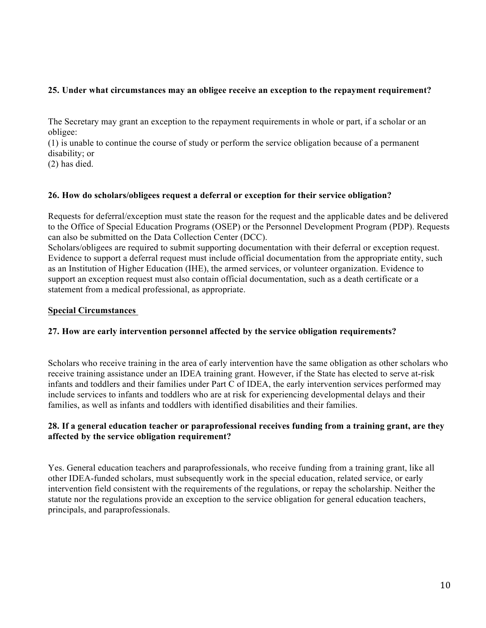## **25. Under what circumstances may an obligee receive an exception to the repayment requirement?**

The Secretary may grant an exception to the repayment requirements in whole or part, if a scholar or an obligee:

(1) is unable to continue the course of study or perform the service obligation because of a permanent disability; or

(2) has died.

## **26. How do scholars/obligees request a deferral or exception for their service obligation?**

Requests for deferral/exception must state the reason for the request and the applicable dates and be delivered to the Office of Special Education Programs (OSEP) or the Personnel Development Program (PDP). Requests can also be submitted on the Data Collection Center (DCC).

Scholars/obligees are required to submit supporting documentation with their deferral or exception request. Evidence to support a deferral request must include official documentation from the appropriate entity, such as an Institution of Higher Education (IHE), the armed services, or volunteer organization. Evidence to support an exception request must also contain official documentation, such as a death certificate or a statement from a medical professional, as appropriate.

#### **Special Circumstances**

## **27. How are early intervention personnel affected by the service obligation requirements?**

Scholars who receive training in the area of early intervention have the same obligation as other scholars who receive training assistance under an IDEA training grant. However, if the State has elected to serve at-risk infants and toddlers and their families under Part C of IDEA, the early intervention services performed may include services to infants and toddlers who are at risk for experiencing developmental delays and their families, as well as infants and toddlers with identified disabilities and their families.

## **28. If a general education teacher or paraprofessional receives funding from a training grant, are they affected by the service obligation requirement?**

Yes. General education teachers and paraprofessionals, who receive funding from a training grant, like all other IDEA-funded scholars, must subsequently work in the special education, related service, or early intervention field consistent with the requirements of the regulations, or repay the scholarship. Neither the statute nor the regulations provide an exception to the service obligation for general education teachers, principals, and paraprofessionals.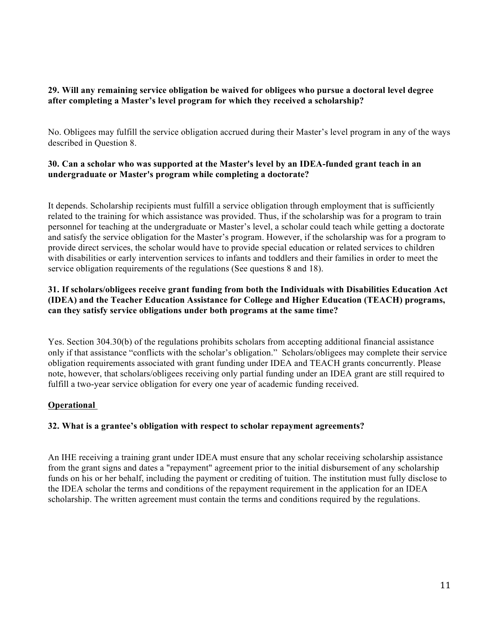# **29. Will any remaining service obligation be waived for obligees who pursue a doctoral level degree after completing a Master's level program for which they received a scholarship?**

No. Obligees may fulfill the service obligation accrued during their Master's level program in any of the ways described in Question 8.

# **30. Can a scholar who was supported at the Master's level by an IDEA-funded grant teach in an undergraduate or Master's program while completing a doctorate?**

It depends. Scholarship recipients must fulfill a service obligation through employment that is sufficiently related to the training for which assistance was provided. Thus, if the scholarship was for a program to train personnel for teaching at the undergraduate or Master's level, a scholar could teach while getting a doctorate and satisfy the service obligation for the Master's program. However, if the scholarship was for a program to provide direct services, the scholar would have to provide special education or related services to children with disabilities or early intervention services to infants and toddlers and their families in order to meet the service obligation requirements of the regulations (See questions 8 and 18).

## **31. If scholars/obligees receive grant funding from both the Individuals with Disabilities Education Act (IDEA) and the Teacher Education Assistance for College and Higher Education (TEACH) programs, can they satisfy service obligations under both programs at the same time?**

Yes. Section 304.30(b) of the regulations prohibits scholars from accepting additional financial assistance only if that assistance "conflicts with the scholar's obligation." Scholars/obligees may complete their service obligation requirements associated with grant funding under IDEA and TEACH grants concurrently. Please note, however, that scholars/obligees receiving only partial funding under an IDEA grant are still required to fulfill a two-year service obligation for every one year of academic funding received.

# **Operational**

## **32. What is a grantee's obligation with respect to scholar repayment agreements?**

An IHE receiving a training grant under IDEA must ensure that any scholar receiving scholarship assistance from the grant signs and dates a "repayment" agreement prior to the initial disbursement of any scholarship funds on his or her behalf, including the payment or crediting of tuition. The institution must fully disclose to the IDEA scholar the terms and conditions of the repayment requirement in the application for an IDEA scholarship. The written agreement must contain the terms and conditions required by the regulations.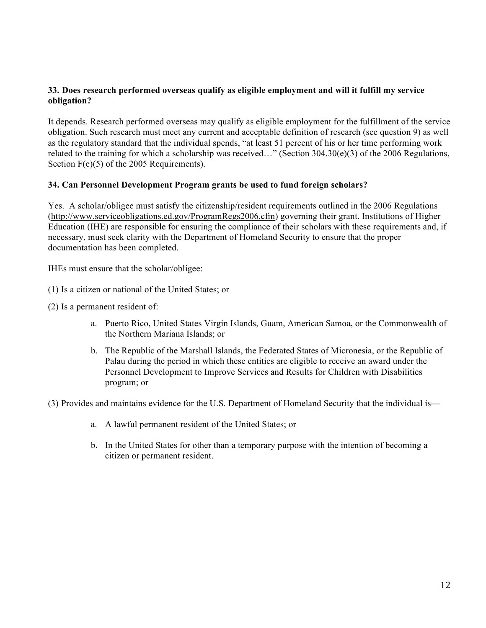## **33. Does research performed overseas qualify as eligible employment and will it fulfill my service obligation?**

It depends. Research performed overseas may qualify as eligible employment for the fulfillment of the service obligation. Such research must meet any current and acceptable definition of research (see question 9) as well as the regulatory standard that the individual spends, "at least 51 percent of his or her time performing work related to the training for which a scholarship was received…" (Section 304.30(e)(3) of the 2006 Regulations, Section  $F(e)(5)$  of the 2005 Requirements).

## **34. Can Personnel Development Program grants be used to fund foreign scholars?**

Yes. A scholar/obligee must satisfy the citizenship/resident requirements outlined in the 2006 Regulations (http://www.serviceobligations.ed.gov/ProgramRegs2006.cfm) governing their grant. Institutions of Higher Education (IHE) are responsible for ensuring the compliance of their scholars with these requirements and, if necessary, must seek clarity with the Department of Homeland Security to ensure that the proper documentation has been completed.

IHEs must ensure that the scholar/obligee:

- (1) Is a citizen or national of the United States; or
- (2) Is a permanent resident of:
	- a. Puerto Rico, United States Virgin Islands, Guam, American Samoa, or the Commonwealth of the Northern Mariana Islands; or
	- b. The Republic of the Marshall Islands, the Federated States of Micronesia, or the Republic of Palau during the period in which these entities are eligible to receive an award under the Personnel Development to Improve Services and Results for Children with Disabilities program; or

(3) Provides and maintains evidence for the U.S. Department of Homeland Security that the individual is—

- a. A lawful permanent resident of the United States; or
- b. In the United States for other than a temporary purpose with the intention of becoming a citizen or permanent resident.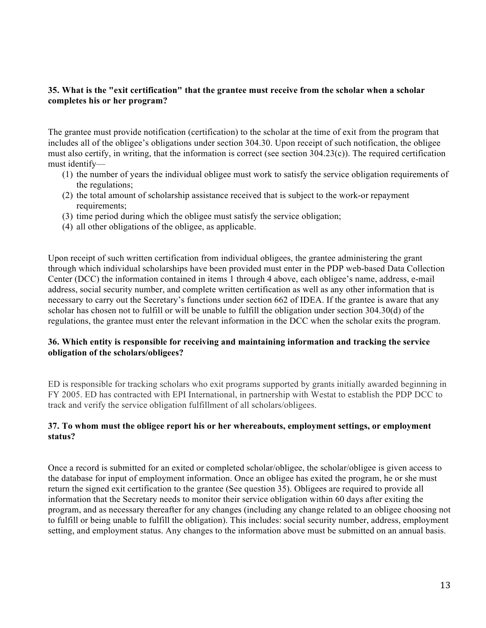#### **35. What is the "exit certification" that the grantee must receive from the scholar when a scholar completes his or her program?**

The grantee must provide notification (certification) to the scholar at the time of exit from the program that includes all of the obligee's obligations under section 304.30. Upon receipt of such notification, the obligee must also certify, in writing, that the information is correct (see section 304.23(c)). The required certification must identify—

- (1) the number of years the individual obligee must work to satisfy the service obligation requirements of the regulations;
- (2) the total amount of scholarship assistance received that is subject to the work-or repayment requirements;
- (3) time period during which the obligee must satisfy the service obligation;
- (4) all other obligations of the obligee, as applicable.

Upon receipt of such written certification from individual obligees, the grantee administering the grant through which individual scholarships have been provided must enter in the PDP web-based Data Collection Center (DCC) the information contained in items 1 through 4 above, each obligee's name, address, e-mail address, social security number, and complete written certification as well as any other information that is necessary to carry out the Secretary's functions under section 662 of IDEA. If the grantee is aware that any scholar has chosen not to fulfill or will be unable to fulfill the obligation under section 304.30(d) of the regulations, the grantee must enter the relevant information in the DCC when the scholar exits the program.

# **36. Which entity is responsible for receiving and maintaining information and tracking the service obligation of the scholars/obligees?**

ED is responsible for tracking scholars who exit programs supported by grants initially awarded beginning in FY 2005. ED has contracted with EPI International, in partnership with Westat to establish the PDP DCC to track and verify the service obligation fulfillment of all scholars/obligees.

#### **37. To whom must the obligee report his or her whereabouts, employment settings, or employment status?**

Once a record is submitted for an exited or completed scholar/obligee, the scholar/obligee is given access to the database for input of employment information. Once an obligee has exited the program, he or she must return the signed exit certification to the grantee (See question 35). Obligees are required to provide all information that the Secretary needs to monitor their service obligation within 60 days after exiting the program, and as necessary thereafter for any changes (including any change related to an obligee choosing not to fulfill or being unable to fulfill the obligation). This includes: social security number, address, employment setting, and employment status. Any changes to the information above must be submitted on an annual basis.